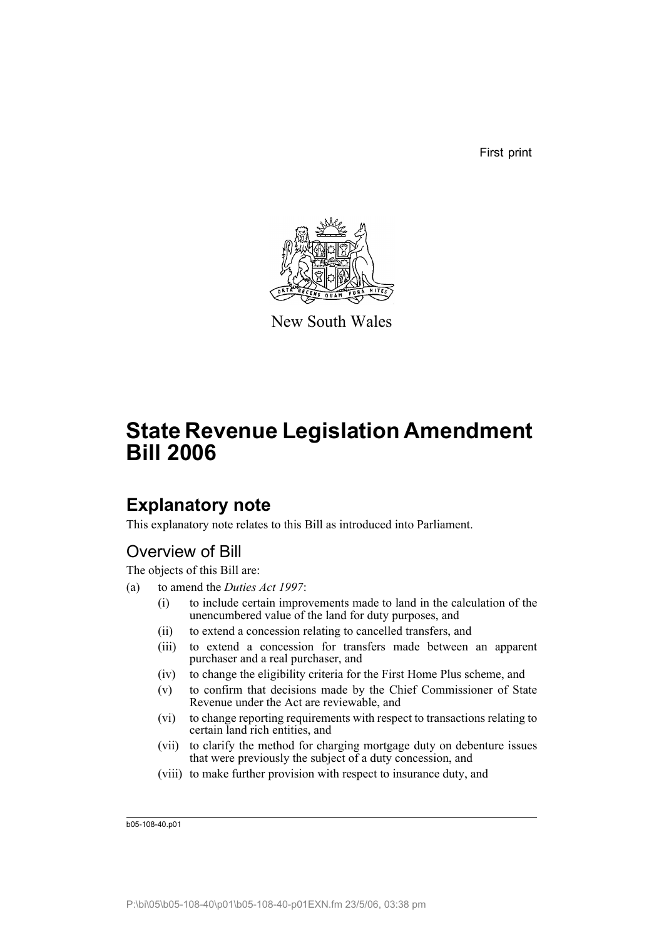First print



New South Wales

# **State Revenue Legislation Amendment Bill 2006**

# **Explanatory note**

This explanatory note relates to this Bill as introduced into Parliament.

# Overview of Bill

The objects of this Bill are:

- (a) to amend the *Duties Act 1997*:
	- (i) to include certain improvements made to land in the calculation of the unencumbered value of the land for duty purposes, and
	- (ii) to extend a concession relating to cancelled transfers, and
	- (iii) to extend a concession for transfers made between an apparent purchaser and a real purchaser, and
	- (iv) to change the eligibility criteria for the First Home Plus scheme, and
	- (v) to confirm that decisions made by the Chief Commissioner of State Revenue under the Act are reviewable, and
	- (vi) to change reporting requirements with respect to transactions relating to certain land rich entities, and
	- (vii) to clarify the method for charging mortgage duty on debenture issues that were previously the subject of a duty concession, and
	- (viii) to make further provision with respect to insurance duty, and

b05-108-40.p01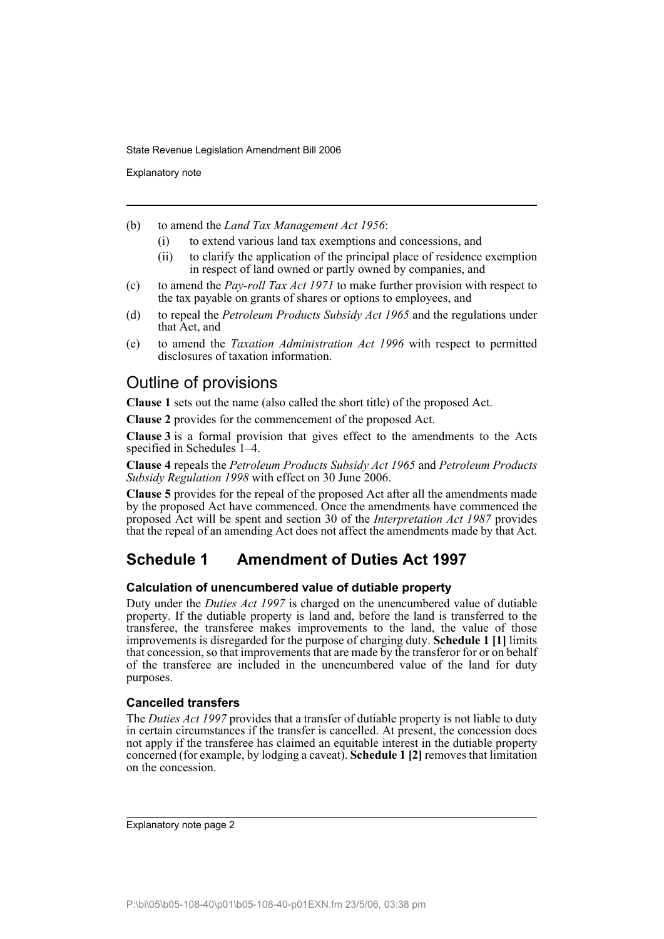Explanatory note

- (b) to amend the *Land Tax Management Act 1956*:
	- (i) to extend various land tax exemptions and concessions, and
	- (ii) to clarify the application of the principal place of residence exemption in respect of land owned or partly owned by companies, and
- (c) to amend the *Pay-roll Tax Act 1971* to make further provision with respect to the tax payable on grants of shares or options to employees, and
- (d) to repeal the *Petroleum Products Subsidy Act 1965* and the regulations under that Act, and
- (e) to amend the *Taxation Administration Act 1996* with respect to permitted disclosures of taxation information.

# Outline of provisions

**Clause 1** sets out the name (also called the short title) of the proposed Act.

**Clause 2** provides for the commencement of the proposed Act.

**Clause 3** is a formal provision that gives effect to the amendments to the Acts specified in Schedules 1–4.

**Clause 4** repeals the *Petroleum Products Subsidy Act 1965* and *Petroleum Products Subsidy Regulation 1998* with effect on 30 June 2006.

**Clause 5** provides for the repeal of the proposed Act after all the amendments made by the proposed Act have commenced. Once the amendments have commenced the proposed Act will be spent and section 30 of the *Interpretation Act 1987* provides that the repeal of an amending Act does not affect the amendments made by that Act.

# **Schedule 1 Amendment of Duties Act 1997**

### **Calculation of unencumbered value of dutiable property**

Duty under the *Duties Act 1997* is charged on the unencumbered value of dutiable property. If the dutiable property is land and, before the land is transferred to the transferee, the transferee makes improvements to the land, the value of those improvements is disregarded for the purpose of charging duty. **Schedule 1 [1]** limits that concession, so that improvements that are made by the transferor for or on behalf of the transferee are included in the unencumbered value of the land for duty purposes.

### **Cancelled transfers**

The *Duties Act 1997* provides that a transfer of dutiable property is not liable to duty in certain circumstances if the transfer is cancelled. At present, the concession does not apply if the transferee has claimed an equitable interest in the dutiable property concerned (for example, by lodging a caveat). **Schedule 1 [2]** removes that limitation on the concession.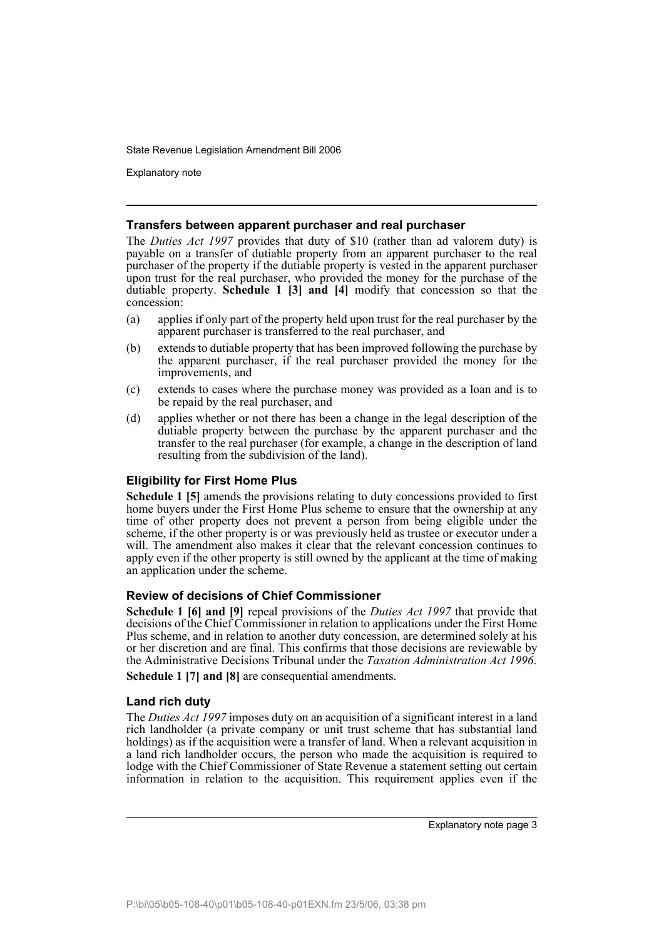Explanatory note

### **Transfers between apparent purchaser and real purchaser**

The *Duties Act 1997* provides that duty of \$10 (rather than ad valorem duty) is payable on a transfer of dutiable property from an apparent purchaser to the real purchaser of the property if the dutiable property is vested in the apparent purchaser upon trust for the real purchaser, who provided the money for the purchase of the dutiable property. **Schedule 1 [3] and [4]** modify that concession so that the concession:

- (a) applies if only part of the property held upon trust for the real purchaser by the apparent purchaser is transferred to the real purchaser, and
- (b) extends to dutiable property that has been improved following the purchase by the apparent purchaser, if the real purchaser provided the money for the improvements, and
- (c) extends to cases where the purchase money was provided as a loan and is to be repaid by the real purchaser, and
- (d) applies whether or not there has been a change in the legal description of the dutiable property between the purchase by the apparent purchaser and the transfer to the real purchaser (for example, a change in the description of land resulting from the subdivision of the land).

### **Eligibility for First Home Plus**

**Schedule 1 [5]** amends the provisions relating to duty concessions provided to first home buyers under the First Home Plus scheme to ensure that the ownership at any time of other property does not prevent a person from being eligible under the scheme, if the other property is or was previously held as trustee or executor under a will. The amendment also makes it clear that the relevant concession continues to apply even if the other property is still owned by the applicant at the time of making an application under the scheme.

### **Review of decisions of Chief Commissioner**

**Schedule 1 [6] and [9]** repeal provisions of the *Duties Act 1997* that provide that decisions of the Chief Commissioner in relation to applications under the First Home Plus scheme, and in relation to another duty concession, are determined solely at his or her discretion and are final. This confirms that those decisions are reviewable by the Administrative Decisions Tribunal under the *Taxation Administration Act 1996*. **Schedule 1 [7] and [8]** are consequential amendments.

### **Land rich duty**

The *Duties Act 1997* imposes duty on an acquisition of a significant interest in a land rich landholder (a private company or unit trust scheme that has substantial land holdings) as if the acquisition were a transfer of land. When a relevant acquisition in a land rich landholder occurs, the person who made the acquisition is required to lodge with the Chief Commissioner of State Revenue a statement setting out certain information in relation to the acquisition. This requirement applies even if the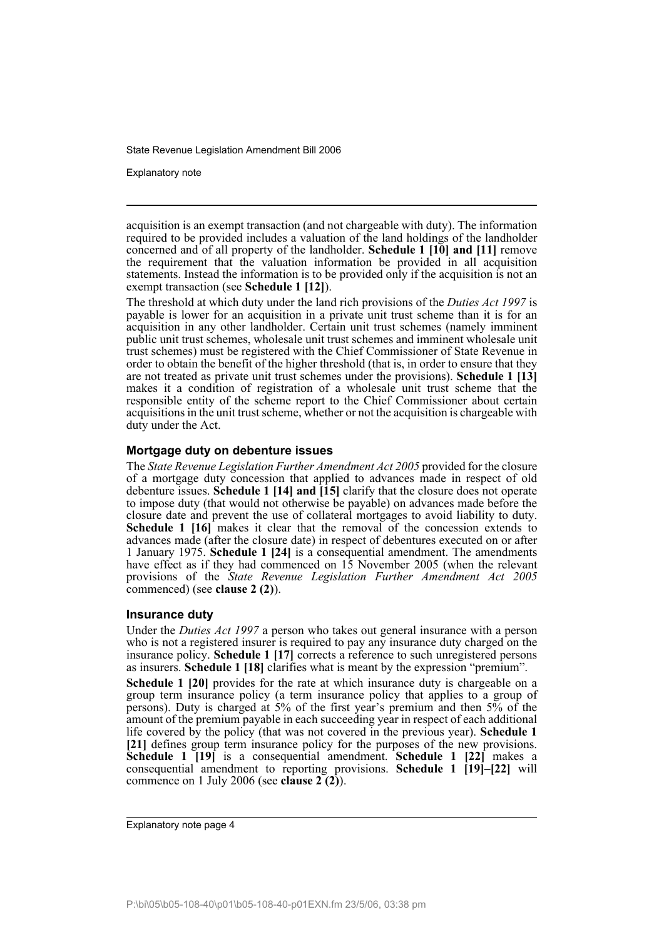Explanatory note

acquisition is an exempt transaction (and not chargeable with duty). The information required to be provided includes a valuation of the land holdings of the landholder concerned and of all property of the landholder. **Schedule 1 [10] and [11]** remove the requirement that the valuation information be provided in all acquisition statements. Instead the information is to be provided only if the acquisition is not an exempt transaction (see **Schedule 1 [12]**).

The threshold at which duty under the land rich provisions of the *Duties Act 1997* is payable is lower for an acquisition in a private unit trust scheme than it is for an acquisition in any other landholder. Certain unit trust schemes (namely imminent public unit trust schemes, wholesale unit trust schemes and imminent wholesale unit trust schemes) must be registered with the Chief Commissioner of State Revenue in order to obtain the benefit of the higher threshold (that is, in order to ensure that they are not treated as private unit trust schemes under the provisions). **Schedule 1 [13]** makes it a condition of registration of a wholesale unit trust scheme that the responsible entity of the scheme report to the Chief Commissioner about certain acquisitions in the unit trust scheme, whether or not the acquisition is chargeable with duty under the Act.

### **Mortgage duty on debenture issues**

The *State Revenue Legislation Further Amendment Act 2005* provided for the closure of a mortgage duty concession that applied to advances made in respect of old debenture issues. **Schedule 1 [14] and [15]** clarify that the closure does not operate to impose duty (that would not otherwise be payable) on advances made before the closure date and prevent the use of collateral mortgages to avoid liability to duty. **Schedule 1 [16]** makes it clear that the removal of the concession extends to advances made (after the closure date) in respect of debentures executed on or after 1 January 1975. **Schedule 1 [24]** is a consequential amendment. The amendments have effect as if they had commenced on 15 November 2005 (when the relevant provisions of the *State Revenue Legislation Further Amendment Act 2005* commenced) (see **clause 2 (2)**).

### **Insurance duty**

Under the *Duties Act 1997* a person who takes out general insurance with a person who is not a registered insurer is required to pay any insurance duty charged on the insurance policy. **Schedule 1 [17]** corrects a reference to such unregistered persons as insurers. **Schedule 1 [18]** clarifies what is meant by the expression "premium".

**Schedule 1 [20]** provides for the rate at which insurance duty is chargeable on a group term insurance policy (a term insurance policy that applies to a group of persons). Duty is charged at 5% of the first year's premium and then 5% of the amount of the premium payable in each succeeding year in respect of each additional life covered by the policy (that was not covered in the previous year). **Schedule 1 [21]** defines group term insurance policy for the purposes of the new provisions. **Schedule 1 [19]** is a consequential amendment. **Schedule 1 [22]** makes a consequential amendment to reporting provisions. **Schedule 1 [19]–[22]** will commence on 1 July 2006 (see **clause 2 (2)**).

Explanatory note page 4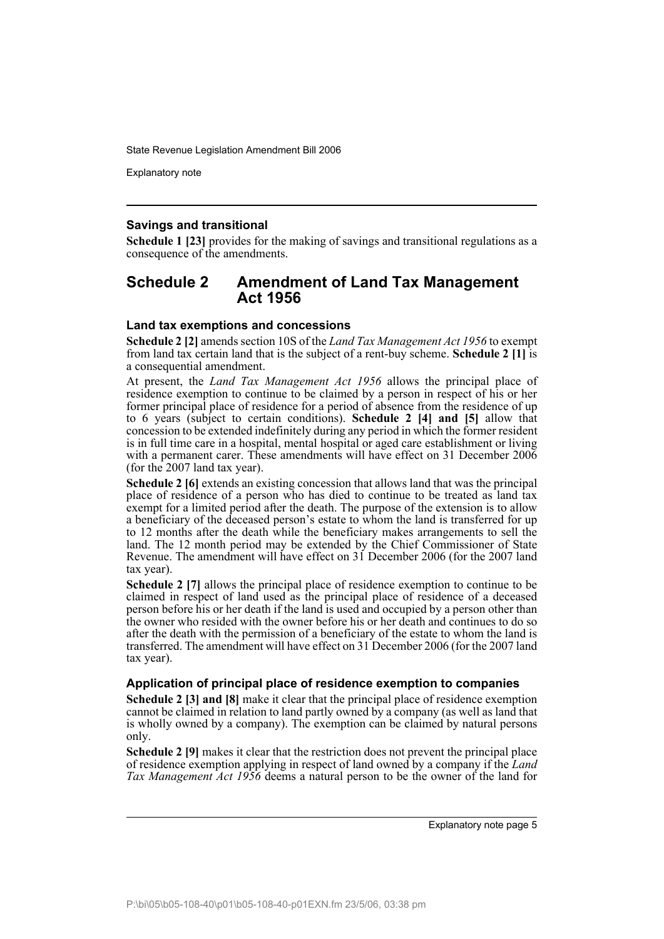Explanatory note

### **Savings and transitional**

**Schedule 1 [23]** provides for the making of savings and transitional regulations as a consequence of the amendments.

## **Schedule 2 Amendment of Land Tax Management Act 1956**

### **Land tax exemptions and concessions**

**Schedule 2 [2]** amends section 10S of the *Land Tax Management Act 1956* to exempt from land tax certain land that is the subject of a rent-buy scheme. **Schedule 2 [1]** is a consequential amendment.

At present, the *Land Tax Management Act 1956* allows the principal place of residence exemption to continue to be claimed by a person in respect of his or her former principal place of residence for a period of absence from the residence of up to 6 years (subject to certain conditions). **Schedule 2 [4] and [5]** allow that concession to be extended indefinitely during any period in which the former resident is in full time care in a hospital, mental hospital or aged care establishment or living with a permanent carer. These amendments will have effect on 31 December 2006 (for the 2007 land tax year).

**Schedule 2 [6]** extends an existing concession that allows land that was the principal place of residence of a person who has died to continue to be treated as land tax exempt for a limited period after the death. The purpose of the extension is to allow a beneficiary of the deceased person's estate to whom the land is transferred for up to 12 months after the death while the beneficiary makes arrangements to sell the land. The 12 month period may be extended by the Chief Commissioner of State Revenue. The amendment will have effect on 31 December 2006 (for the 2007 land tax year).

**Schedule 2 [7]** allows the principal place of residence exemption to continue to be claimed in respect of land used as the principal place of residence of a deceased person before his or her death if the land is used and occupied by a person other than the owner who resided with the owner before his or her death and continues to do so after the death with the permission of a beneficiary of the estate to whom the land is transferred. The amendment will have effect on 31 December 2006 (for the 2007 land tax year).

### **Application of principal place of residence exemption to companies**

**Schedule 2 [3] and [8]** make it clear that the principal place of residence exemption cannot be claimed in relation to land partly owned by a company (as well as land that is wholly owned by a company). The exemption can be claimed by natural persons only.

**Schedule 2 [9]** makes it clear that the restriction does not prevent the principal place of residence exemption applying in respect of land owned by a company if the *Land Tax Management Act 1956* deems a natural person to be the owner of the land for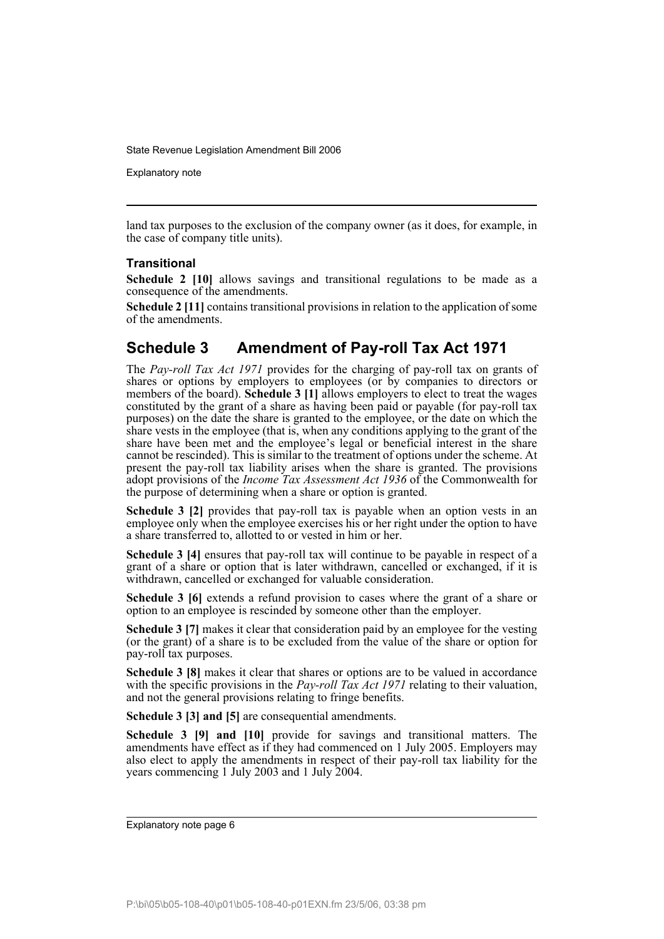Explanatory note

land tax purposes to the exclusion of the company owner (as it does, for example, in the case of company title units).

### **Transitional**

**Schedule 2 [10]** allows savings and transitional regulations to be made as a consequence of the amendments.

**Schedule 2** [11] contains transitional provisions in relation to the application of some of the amendments.

# **Schedule 3 Amendment of Pay-roll Tax Act 1971**

The *Pay-roll Tax Act 1971* provides for the charging of pay-roll tax on grants of shares or options by employers to employees (or by companies to directors or members of the board). **Schedule 3 [1]** allows employers to elect to treat the wages constituted by the grant of a share as having been paid or payable (for pay-roll tax purposes) on the date the share is granted to the employee, or the date on which the share vests in the employee (that is, when any conditions applying to the grant of the share have been met and the employee's legal or beneficial interest in the share cannot be rescinded). This is similar to the treatment of options under the scheme. At present the pay-roll tax liability arises when the share is granted. The provisions adopt provisions of the *Income Tax Assessment Act 1936* of the Commonwealth for the purpose of determining when a share or option is granted.

**Schedule 3 [2]** provides that pay-roll tax is payable when an option vests in an employee only when the employee exercises his or her right under the option to have a share transferred to, allotted to or vested in him or her.

**Schedule 3 [4]** ensures that pay-roll tax will continue to be payable in respect of a grant of a share or option that is later withdrawn, cancelled or exchanged, if it is withdrawn, cancelled or exchanged for valuable consideration.

**Schedule 3 [6]** extends a refund provision to cases where the grant of a share or option to an employee is rescinded by someone other than the employer.

**Schedule 3 [7]** makes it clear that consideration paid by an employee for the vesting (or the grant) of a share is to be excluded from the value of the share or option for pay-roll tax purposes.

**Schedule 3 [8]** makes it clear that shares or options are to be valued in accordance with the specific provisions in the *Pay-roll Tax Act 1971* relating to their valuation, and not the general provisions relating to fringe benefits.

**Schedule 3 [3] and [5]** are consequential amendments.

**Schedule 3 [9] and [10]** provide for savings and transitional matters. The amendments have effect as if they had commenced on 1 July 2005. Employers may also elect to apply the amendments in respect of their pay-roll tax liability for the years commencing 1 July 2003 and 1 July 2004.

Explanatory note page 6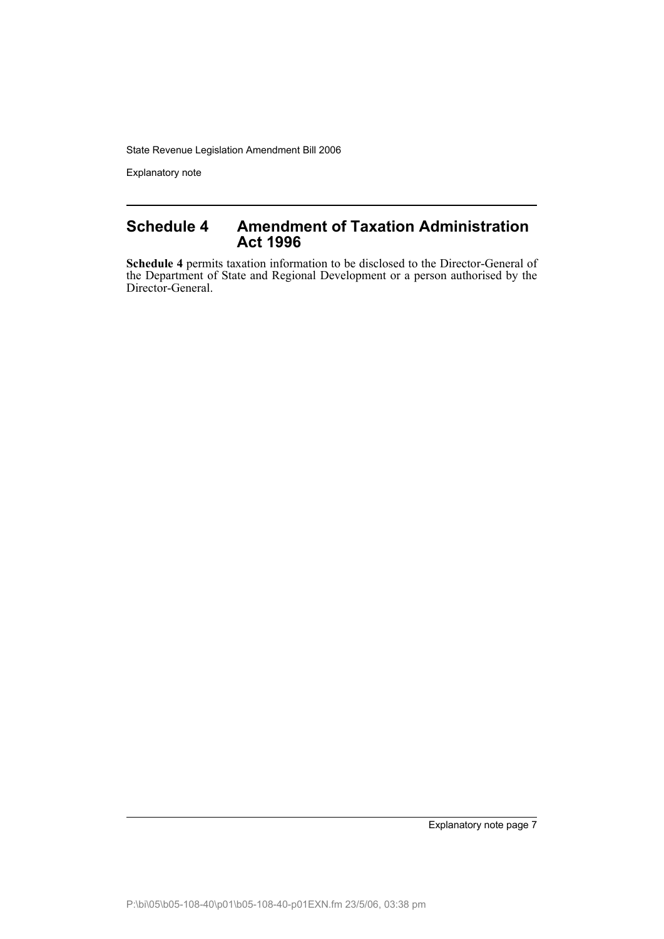Explanatory note

# **Schedule 4 Amendment of Taxation Administration Act 1996**

**Schedule 4** permits taxation information to be disclosed to the Director-General of the Department of State and Regional Development or a person authorised by the Director-General.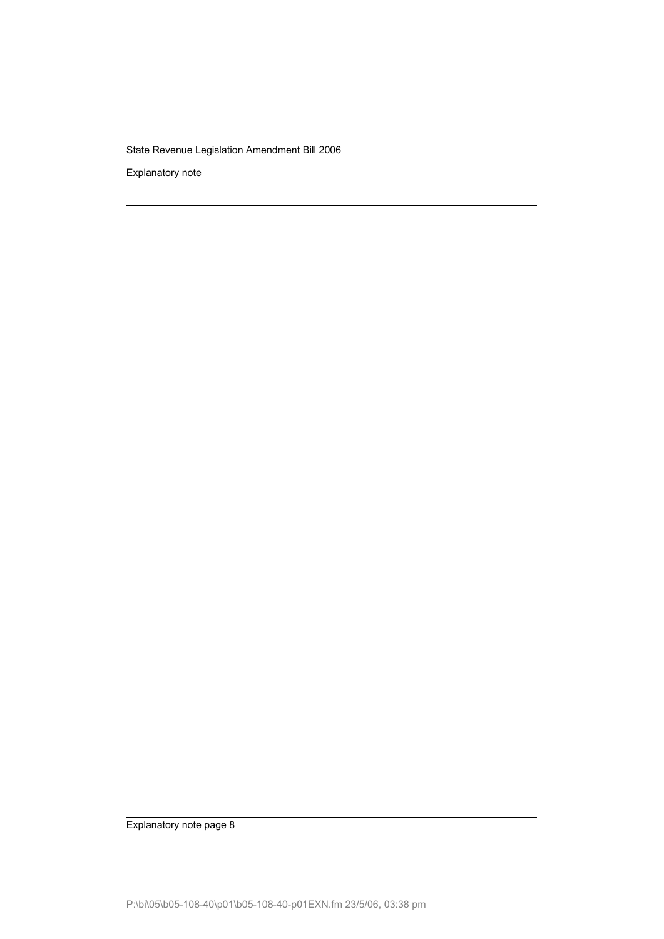Explanatory note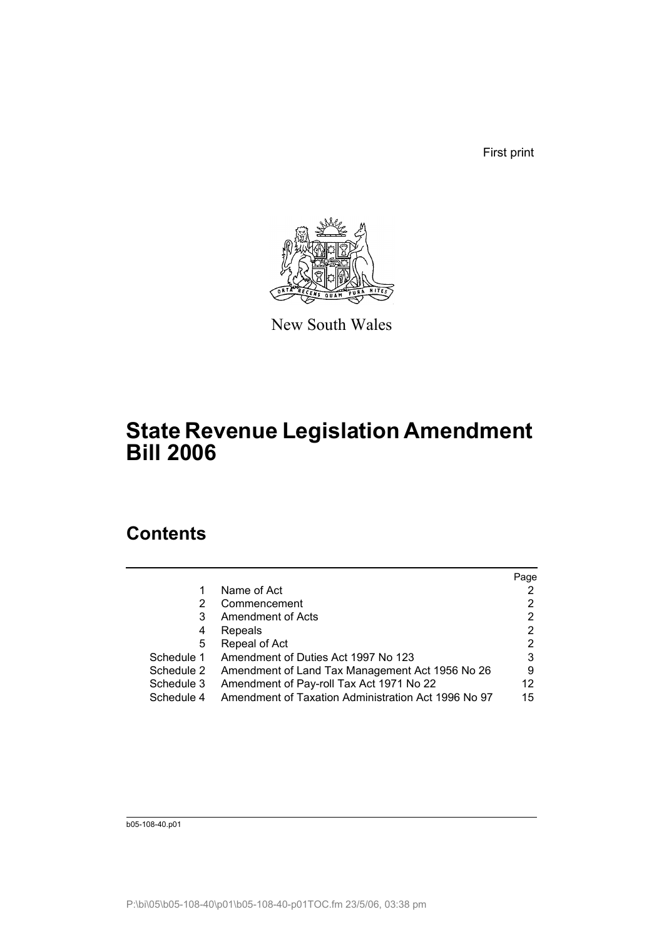First print



New South Wales

# **State Revenue Legislation Amendment Bill 2006**

# **Contents**

|            |                                                     | Page |
|------------|-----------------------------------------------------|------|
| 1          | Name of Act                                         |      |
| 2          | Commencement                                        | 2    |
| 3          | <b>Amendment of Acts</b>                            | 2    |
| 4          | Repeals                                             | 2    |
| 5          | Repeal of Act                                       | 2    |
| Schedule 1 | Amendment of Duties Act 1997 No 123                 | 3    |
| Schedule 2 | Amendment of Land Tax Management Act 1956 No 26     | 9    |
| Schedule 3 | Amendment of Pay-roll Tax Act 1971 No 22            | 12   |
| Schedule 4 | Amendment of Taxation Administration Act 1996 No 97 | 15   |

b05-108-40.p01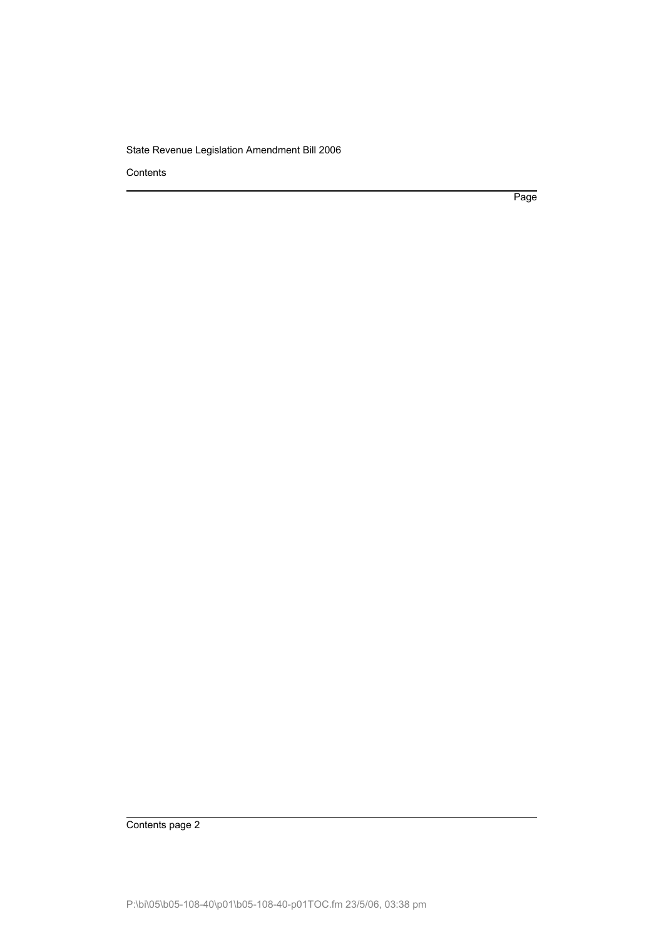Contents

Page

Contents page 2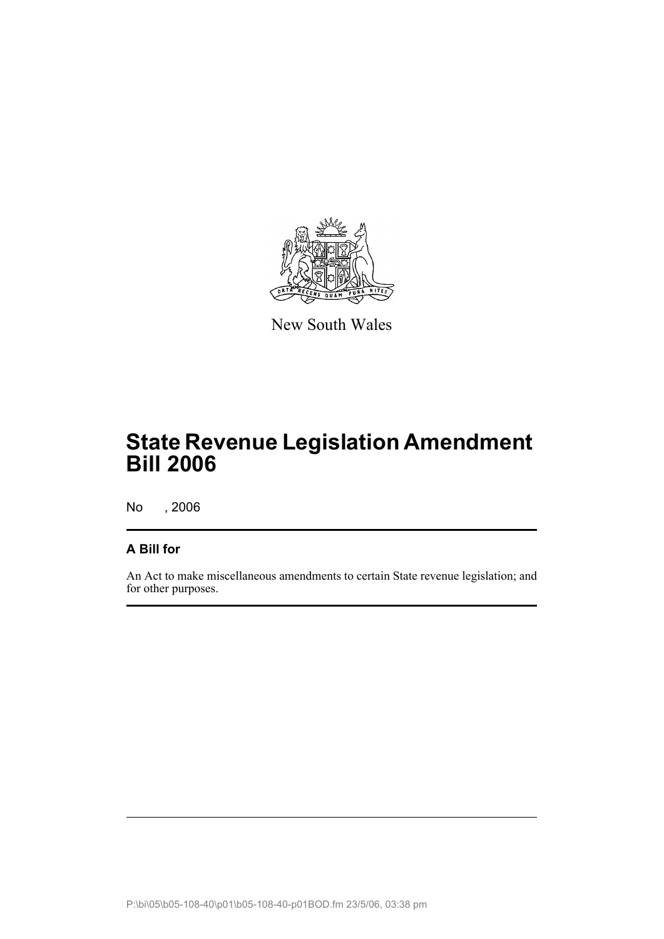

New South Wales

# **State Revenue Legislation Amendment Bill 2006**

No , 2006

## **A Bill for**

An Act to make miscellaneous amendments to certain State revenue legislation; and for other purposes.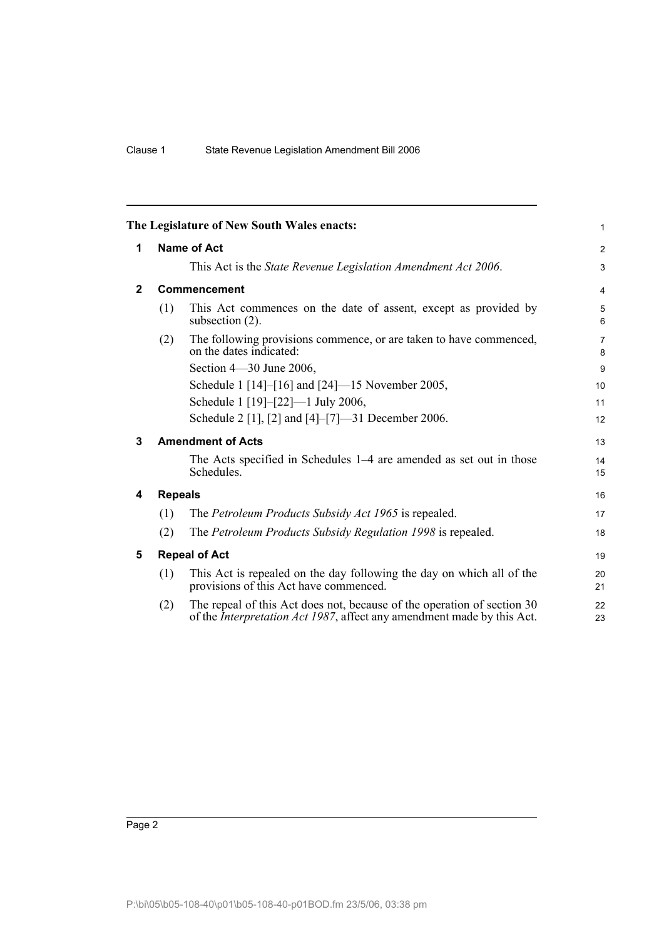<span id="page-11-4"></span><span id="page-11-3"></span><span id="page-11-2"></span><span id="page-11-1"></span><span id="page-11-0"></span>

|              |                                                               | The Legislature of New South Wales enacts:                                                                                                                | $\mathbf{1}$        |  |  |  |  |
|--------------|---------------------------------------------------------------|-----------------------------------------------------------------------------------------------------------------------------------------------------------|---------------------|--|--|--|--|
| 1            | Name of Act                                                   |                                                                                                                                                           |                     |  |  |  |  |
|              | This Act is the State Revenue Legislation Amendment Act 2006. |                                                                                                                                                           |                     |  |  |  |  |
| $\mathbf{2}$ |                                                               | <b>Commencement</b>                                                                                                                                       | $\overline{4}$      |  |  |  |  |
|              | (1)                                                           | This Act commences on the date of assent, except as provided by<br>subsection $(2)$ .                                                                     | 5<br>6              |  |  |  |  |
|              | (2)                                                           | The following provisions commence, or are taken to have commenced,<br>on the dates indicated:                                                             | $\overline{7}$<br>8 |  |  |  |  |
|              |                                                               | Section 4-30 June 2006,                                                                                                                                   | 9                   |  |  |  |  |
|              |                                                               | Schedule 1 [14]–[16] and [24]—15 November 2005,                                                                                                           | 10                  |  |  |  |  |
|              |                                                               | Schedule 1 [19]–[22]—1 July 2006,                                                                                                                         | 11                  |  |  |  |  |
|              |                                                               | Schedule 2 [1], [2] and [4]–[7]—31 December 2006.                                                                                                         | 12                  |  |  |  |  |
| 3            |                                                               | <b>Amendment of Acts</b>                                                                                                                                  | 13                  |  |  |  |  |
|              |                                                               | The Acts specified in Schedules 1–4 are amended as set out in those<br>Schedules.                                                                         | 14<br>15            |  |  |  |  |
| 4            | <b>Repeals</b>                                                |                                                                                                                                                           | 16                  |  |  |  |  |
|              | (1)                                                           | The <i>Petroleum Products Subsidy Act 1965</i> is repealed.                                                                                               | 17                  |  |  |  |  |
|              | (2)                                                           | The <i>Petroleum Products Subsidy Regulation 1998</i> is repealed.                                                                                        | 18                  |  |  |  |  |
| 5            |                                                               | <b>Repeal of Act</b>                                                                                                                                      | 19                  |  |  |  |  |
|              | (1)                                                           | This Act is repealed on the day following the day on which all of the<br>provisions of this Act have commenced.                                           | 20<br>21            |  |  |  |  |
|              | (2)                                                           | The repeal of this Act does not, because of the operation of section 30<br>of the <i>Interpretation Act 1987</i> , affect any amendment made by this Act. | 22<br>23            |  |  |  |  |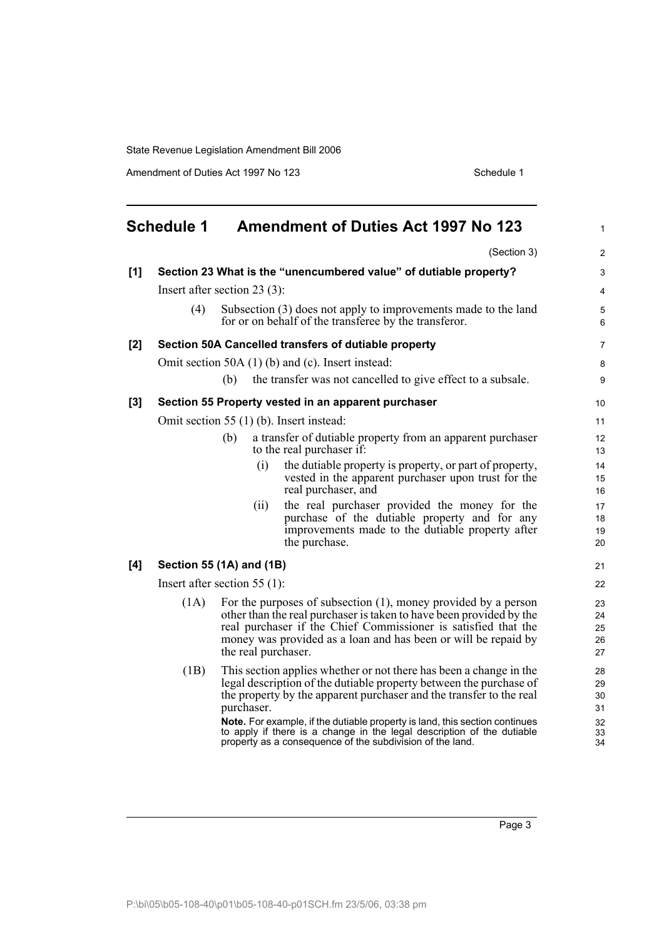Amendment of Duties Act 1997 No 123

<span id="page-12-0"></span>

|     | <b>Schedule 1</b> | <b>Amendment of Duties Act 1997 No 123</b>                                                                                                                                                                                                                                                          | $\mathbf{1}$               |
|-----|-------------------|-----------------------------------------------------------------------------------------------------------------------------------------------------------------------------------------------------------------------------------------------------------------------------------------------------|----------------------------|
|     |                   | (Section 3)                                                                                                                                                                                                                                                                                         | 2                          |
| [1] |                   | Section 23 What is the "unencumbered value" of dutiable property?                                                                                                                                                                                                                                   | 3                          |
|     |                   | Insert after section $23(3)$ :                                                                                                                                                                                                                                                                      | $\overline{4}$             |
|     | (4)               | Subsection (3) does not apply to improvements made to the land<br>for or on behalf of the transferee by the transferor.                                                                                                                                                                             | $\mathbf 5$<br>6           |
| [2] |                   | Section 50A Cancelled transfers of dutiable property                                                                                                                                                                                                                                                | $\overline{7}$             |
|     |                   | Omit section 50A (1) (b) and (c). Insert instead:                                                                                                                                                                                                                                                   | 8                          |
|     |                   | the transfer was not cancelled to give effect to a subsale.<br>(b)                                                                                                                                                                                                                                  | 9                          |
| [3] |                   | Section 55 Property vested in an apparent purchaser                                                                                                                                                                                                                                                 | 10                         |
|     |                   | Omit section 55 (1) (b). Insert instead:                                                                                                                                                                                                                                                            | 11                         |
|     |                   | a transfer of dutiable property from an apparent purchaser<br>(b)<br>to the real purchaser if:                                                                                                                                                                                                      | 12<br>13                   |
|     |                   | (i)<br>the dutiable property is property, or part of property,<br>vested in the apparent purchaser upon trust for the<br>real purchaser, and                                                                                                                                                        | 14<br>15<br>16             |
|     |                   | the real purchaser provided the money for the<br>(ii)<br>purchase of the dutiable property and for any<br>improvements made to the dutiable property after<br>the purchase.                                                                                                                         | 17<br>18<br>19<br>20       |
| [4] |                   | Section 55 (1A) and (1B)                                                                                                                                                                                                                                                                            | 21                         |
|     |                   | Insert after section 55 $(1)$ :                                                                                                                                                                                                                                                                     | 22                         |
|     | (1A)              | For the purposes of subsection $(1)$ , money provided by a person<br>other than the real purchaser is taken to have been provided by the<br>real purchaser if the Chief Commissioner is satisfied that the<br>money was provided as a loan and has been or will be repaid by<br>the real purchaser. | 23<br>24<br>25<br>26<br>27 |
|     | (1B)              | This section applies whether or not there has been a change in the<br>legal description of the dutiable property between the purchase of<br>the property by the apparent purchaser and the transfer to the real<br>purchaser.                                                                       | 28<br>29<br>30<br>31       |
|     |                   | Note. For example, if the dutiable property is land, this section continues<br>to apply if there is a change in the legal description of the dutiable<br>property as a consequence of the subdivision of the land.                                                                                  | 32<br>33<br>34             |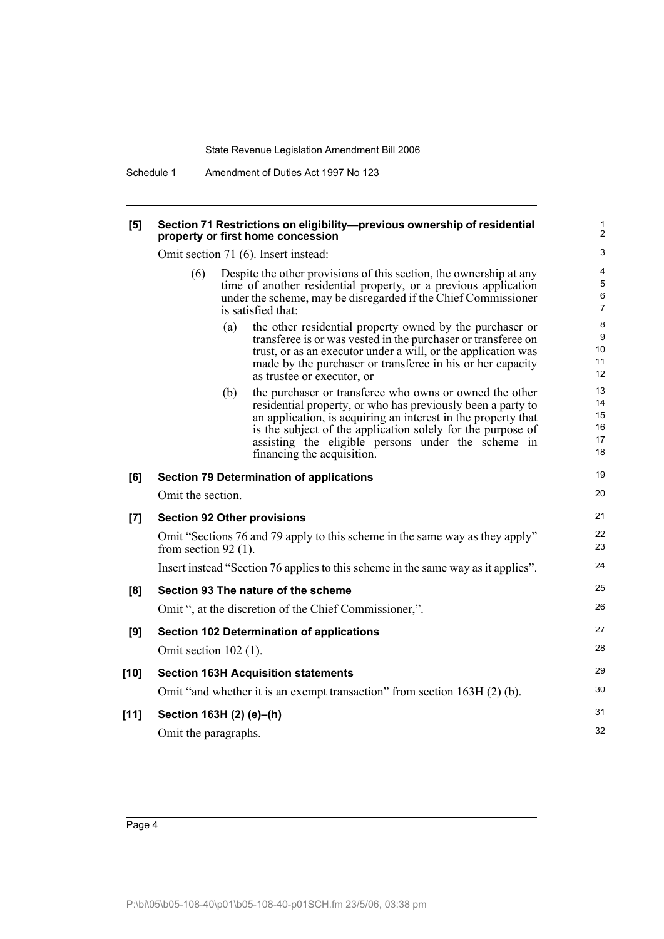Schedule 1 Amendment of Duties Act 1997 No 123

### **[5] Section 71 Restrictions on eligibility—previous ownership of residential property or first home concession**

1 2

|        | Omit section 71 (6). Insert instead: |     |                                                                                                                                                                                                                                                                                                                                            |                                         |
|--------|--------------------------------------|-----|--------------------------------------------------------------------------------------------------------------------------------------------------------------------------------------------------------------------------------------------------------------------------------------------------------------------------------------------|-----------------------------------------|
|        | (6)                                  |     | Despite the other provisions of this section, the ownership at any<br>time of another residential property, or a previous application<br>under the scheme, may be disregarded if the Chief Commissioner<br>is satisfied that:                                                                                                              | $\overline{4}$<br>$\mathbf 5$<br>6<br>7 |
|        |                                      | (a) | the other residential property owned by the purchaser or<br>transferee is or was vested in the purchaser or transferee on<br>trust, or as an executor under a will, or the application was<br>made by the purchaser or transferee in his or her capacity<br>as trustee or executor, or                                                     | 8<br>$\boldsymbol{9}$<br>10<br>11<br>12 |
|        |                                      | (b) | the purchaser or transferee who owns or owned the other<br>residential property, or who has previously been a party to<br>an application, is acquiring an interest in the property that<br>is the subject of the application solely for the purpose of<br>assisting the eligible persons under the scheme in<br>financing the acquisition. | 13<br>14<br>15<br>16<br>17<br>18        |
| [6]    |                                      |     | <b>Section 79 Determination of applications</b>                                                                                                                                                                                                                                                                                            | 19                                      |
|        | Omit the section.                    |     |                                                                                                                                                                                                                                                                                                                                            | 20                                      |
| [7]    |                                      |     | <b>Section 92 Other provisions</b>                                                                                                                                                                                                                                                                                                         | 21                                      |
|        | from section 92 $(1)$ .              |     | Omit "Sections 76 and 79 apply to this scheme in the same way as they apply"                                                                                                                                                                                                                                                               | 22<br>23                                |
|        |                                      |     | Insert instead "Section 76 applies to this scheme in the same way as it applies".                                                                                                                                                                                                                                                          | 24                                      |
| [8]    |                                      |     | Section 93 The nature of the scheme                                                                                                                                                                                                                                                                                                        | 25                                      |
|        |                                      |     | Omit ", at the discretion of the Chief Commissioner,".                                                                                                                                                                                                                                                                                     | 26                                      |
| [9]    |                                      |     | <b>Section 102 Determination of applications</b>                                                                                                                                                                                                                                                                                           | 27                                      |
|        | Omit section $102$ (1).              |     |                                                                                                                                                                                                                                                                                                                                            | 28                                      |
| $[10]$ |                                      |     | <b>Section 163H Acquisition statements</b>                                                                                                                                                                                                                                                                                                 | 29                                      |
|        |                                      |     | Omit "and whether it is an exempt transaction" from section 163H (2) (b).                                                                                                                                                                                                                                                                  | 30                                      |
| $[11]$ | Section 163H (2) (e)-(h)             |     |                                                                                                                                                                                                                                                                                                                                            | 31                                      |
|        | Omit the paragraphs.                 |     |                                                                                                                                                                                                                                                                                                                                            | 32                                      |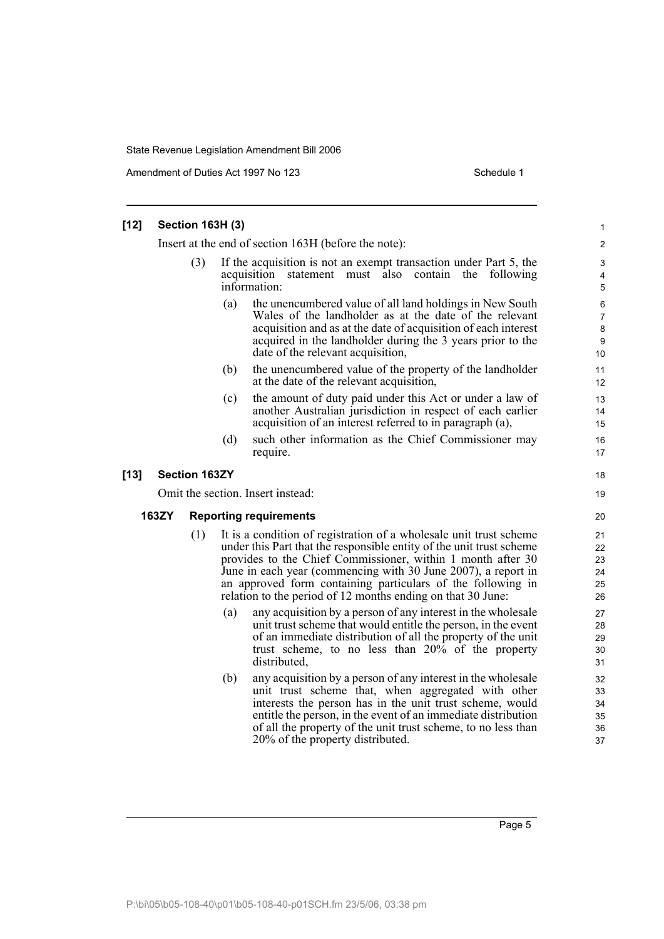Amendment of Duties Act 1997 No 123 Schedule 1

#### **[12] Section 163H (3)** Insert at the end of section 163H (before the note): If the acquisition is not an exempt transaction under Part 5, the acquisition statement must also contain the following information: (a) the unencumbered value of all land holdings in New South Wales of the landholder as at the date of the relevant acquisition and as at the date of acquisition of each interest acquired in the landholder during the 3 years prior to the date of the relevant acquisition, (b) the unencumbered value of the property of the landholder at the date of the relevant acquisition, (c) the amount of duty paid under this Act or under a law of another Australian jurisdiction in respect of each earlier acquisition of an interest referred to in paragraph (a), (d) such other information as the Chief Commissioner may require. **[13] Section 163ZY** Omit the section. Insert instead: **163ZY Reporting requirements** (1) It is a condition of registration of a wholesale unit trust scheme under this Part that the responsible entity of the unit trust scheme provides to the Chief Commissioner, within 1 month after 30 June in each year (commencing with 30 June 2007), a report in an approved form containing particulars of the following in relation to the period of 12 months ending on that 30 June: (a) any acquisition by a person of any interest in the wholesale unit trust scheme that would entitle the person, in the event of an immediate distribution of all the property of the unit trust scheme, to no less than 20% of the property distributed, (b) any acquisition by a person of any interest in the wholesale unit trust scheme that, when aggregated with other interests the person has in the unit trust scheme, would entitle the person, in the event of an immediate distribution of all the property of the unit trust scheme, to no less than 20% of the property distributed. 1  $\mathfrak{p}$ 3 4 5 6 7 8 9 10 11 12 13 14 15 16 17 18 19  $20$ 21 22 23 24 25  $26$ 27 28 29 30 31 32 33 34 35 36 37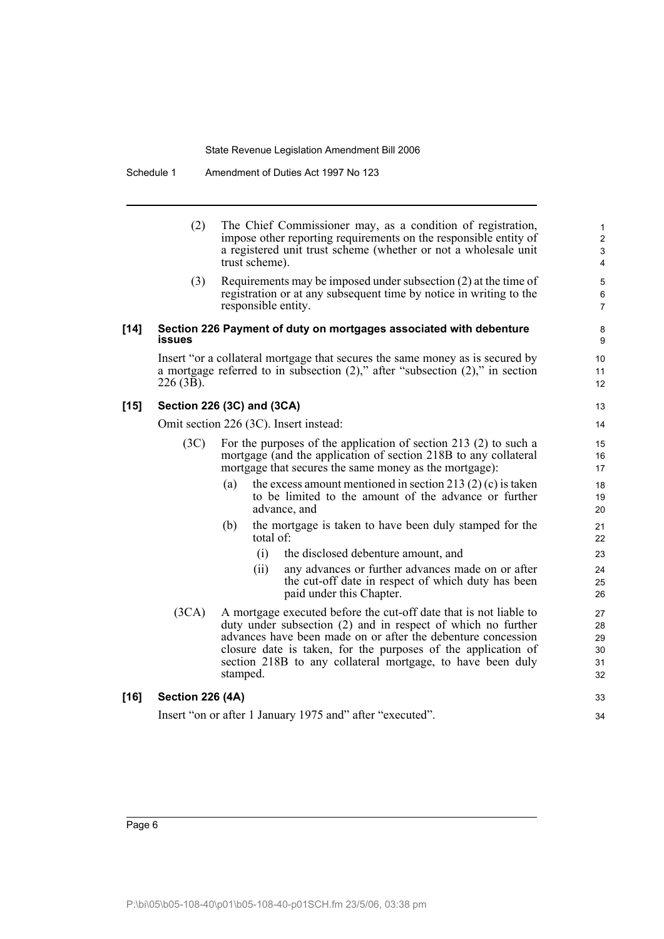Schedule 1 Amendment of Duties Act 1997 No 123

(2) The Chief Commissioner may, as a condition of registration, impose other reporting requirements on the responsible entity of a registered unit trust scheme (whether or not a wholesale unit trust scheme).

33 34

(3) Requirements may be imposed under subsection (2) at the time of registration or at any subsequent time by notice in writing to the responsible entity.

### **[14] Section 226 Payment of duty on mortgages associated with debenture issues**

Insert "or a collateral mortgage that secures the same money as is secured by a mortgage referred to in subsection (2)," after "subsection (2)," in section 226 (3B).

### **[15] Section 226 (3C) and (3CA)**

Omit section 226 (3C). Insert instead:

- (3C) For the purposes of the application of section 213 (2) to such a mortgage (and the application of section 218B to any collateral mortgage that secures the same money as the mortgage):
	- (a) the excess amount mentioned in section 213 (2) (c) is taken to be limited to the amount of the advance or further advance, and
	- (b) the mortgage is taken to have been duly stamped for the total of:
		- (i) the disclosed debenture amount, and
		- (ii) any advances or further advances made on or after the cut-off date in respect of which duty has been paid under this Chapter.
- (3CA) A mortgage executed before the cut-off date that is not liable to duty under subsection (2) and in respect of which no further advances have been made on or after the debenture concession closure date is taken, for the purposes of the application of section 218B to any collateral mortgage, to have been duly stamped.

### **[16] Section 226 (4A)**

Insert "on or after 1 January 1975 and" after "executed".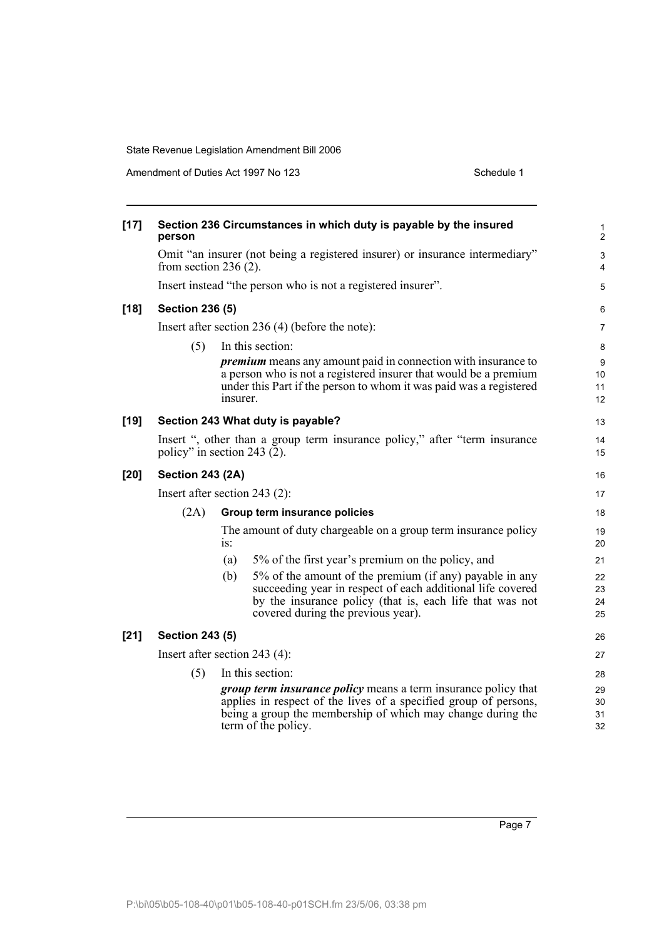Amendment of Duties Act 1997 No 123 Schedule 1

| $[17]$ | Section 236 Circumstances in which duty is payable by the insured<br>person                              |          |                                                                                                                                                                                                                                 | $\mathbf{1}$<br>2    |  |
|--------|----------------------------------------------------------------------------------------------------------|----------|---------------------------------------------------------------------------------------------------------------------------------------------------------------------------------------------------------------------------------|----------------------|--|
|        | Omit "an insurer (not being a registered insurer) or insurance intermediary"<br>from section 236 $(2)$ . |          |                                                                                                                                                                                                                                 |                      |  |
|        | Insert instead "the person who is not a registered insurer".                                             |          |                                                                                                                                                                                                                                 |                      |  |
| $[18]$ | <b>Section 236 (5)</b>                                                                                   |          |                                                                                                                                                                                                                                 | 6                    |  |
|        |                                                                                                          |          | Insert after section 236 $(4)$ (before the note):                                                                                                                                                                               | 7                    |  |
|        | (5)                                                                                                      |          | In this section:                                                                                                                                                                                                                | 8                    |  |
|        |                                                                                                          | insurer. | <i>premium</i> means any amount paid in connection with insurance to<br>a person who is not a registered insurer that would be a premium<br>under this Part if the person to whom it was paid was a registered                  | 9<br>10<br>11<br>12  |  |
| $[19]$ |                                                                                                          |          | Section 243 What duty is payable?                                                                                                                                                                                               | 13                   |  |
|        | policy" in section 243 $(2)$ .                                                                           |          | Insert ", other than a group term insurance policy," after "term insurance                                                                                                                                                      | 14<br>15             |  |
| $[20]$ | <b>Section 243 (2A)</b>                                                                                  |          |                                                                                                                                                                                                                                 | 16                   |  |
|        | Insert after section $243$ (2):                                                                          |          |                                                                                                                                                                                                                                 | 17                   |  |
|        | (2A)                                                                                                     |          | Group term insurance policies                                                                                                                                                                                                   |                      |  |
|        |                                                                                                          | $iS$ :   | The amount of duty chargeable on a group term insurance policy                                                                                                                                                                  | 19<br>20             |  |
|        |                                                                                                          | (a)      | 5% of the first year's premium on the policy, and                                                                                                                                                                               | 21                   |  |
|        |                                                                                                          | (b)      | 5% of the amount of the premium (if any) payable in any<br>succeeding year in respect of each additional life covered<br>by the insurance policy (that is, each life that was not<br>covered during the previous year).         | 22<br>23<br>24<br>25 |  |
| $[21]$ | <b>Section 243 (5)</b>                                                                                   |          |                                                                                                                                                                                                                                 | 26                   |  |
|        | Insert after section 243 $(4)$ :                                                                         |          |                                                                                                                                                                                                                                 | 27                   |  |
|        | (5)                                                                                                      |          | In this section:                                                                                                                                                                                                                | 28                   |  |
|        |                                                                                                          |          | <i>group term insurance policy</i> means a term insurance policy that<br>applies in respect of the lives of a specified group of persons,<br>being a group the membership of which may change during the<br>term of the policy. | 29<br>30<br>31<br>32 |  |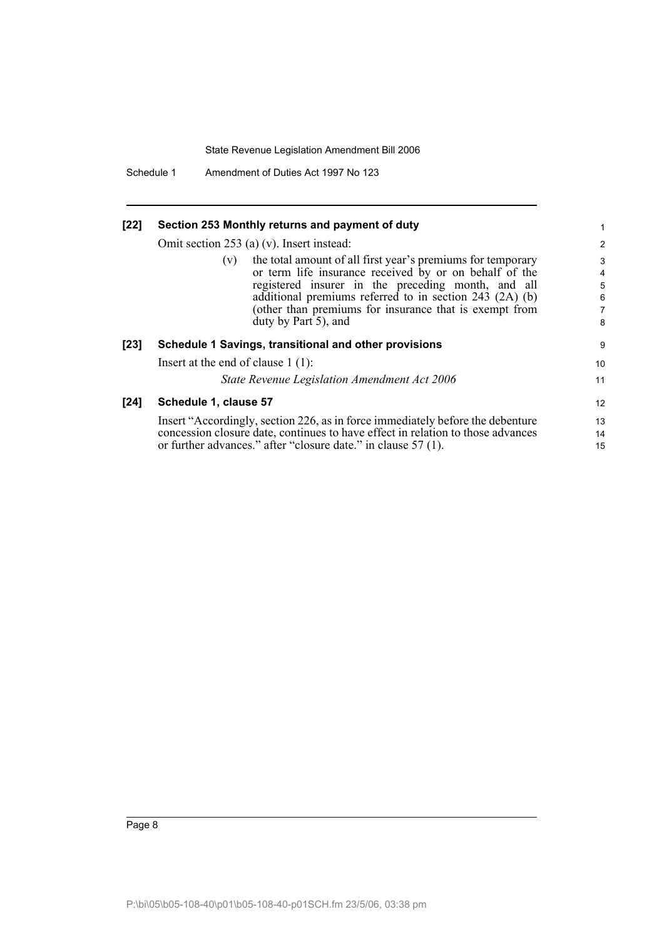Schedule 1 Amendment of Duties Act 1997 No 123

### **[22] Section 253 Monthly returns and payment of duty**

Omit section 253 (a) (v). Insert instead:

(v) the total amount of all first year's premiums for temporary or term life insurance received by or on behalf of the registered insurer in the preceding month, and all additional premiums referred to in section 243 (2A) (b) (other than premiums for insurance that is exempt from duty by Part  $5$ ), and

| $[23]$ | Schedule 1 Savings, transitional and other provisions                           | 9  |  |
|--------|---------------------------------------------------------------------------------|----|--|
|        | Insert at the end of clause $1(1)$ :                                            | 10 |  |
|        | State Revenue Legislation Amendment Act 2006                                    | 11 |  |
| [24]   | Schedule 1, clause 57                                                           |    |  |
|        | Insert "Accordingly, section 226, as in force immediately before the debenture  |    |  |
|        | concession closure date, continues to have effect in relation to those advances | 14 |  |
|        | or further advances." after "closure date." in clause 57 (1).                   | 15 |  |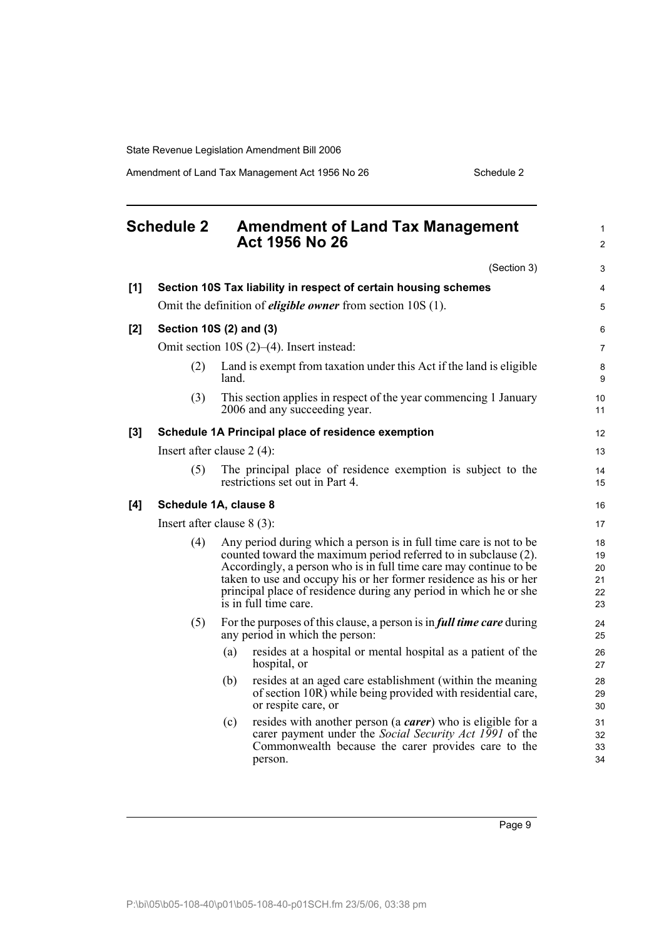Amendment of Land Tax Management Act 1956 No 26 Schedule 2

<span id="page-18-0"></span>

| <b>Schedule 2</b> |                              |                                                                                                                                                                                                                                                                                                                                                                               | <b>Amendment of Land Tax Management</b><br>Act 1956 No 26                                                                                                                                               | $\mathbf{1}$<br>2    |  |
|-------------------|------------------------------|-------------------------------------------------------------------------------------------------------------------------------------------------------------------------------------------------------------------------------------------------------------------------------------------------------------------------------------------------------------------------------|---------------------------------------------------------------------------------------------------------------------------------------------------------------------------------------------------------|----------------------|--|
|                   |                              |                                                                                                                                                                                                                                                                                                                                                                               | (Section 3)                                                                                                                                                                                             | 3                    |  |
| [1]               |                              |                                                                                                                                                                                                                                                                                                                                                                               | Section 10S Tax liability in respect of certain housing schemes                                                                                                                                         | $\overline{4}$       |  |
|                   |                              |                                                                                                                                                                                                                                                                                                                                                                               | Omit the definition of <i>eligible owner</i> from section $10S(1)$ .                                                                                                                                    | 5                    |  |
| [2]               | Section 10S (2) and (3)      |                                                                                                                                                                                                                                                                                                                                                                               |                                                                                                                                                                                                         | 6                    |  |
|                   |                              |                                                                                                                                                                                                                                                                                                                                                                               | Omit section $10S(2)$ –(4). Insert instead:                                                                                                                                                             | $\overline{7}$       |  |
|                   | (2)                          | land.                                                                                                                                                                                                                                                                                                                                                                         | Land is exempt from taxation under this Act if the land is eligible                                                                                                                                     | 8<br>9               |  |
|                   | (3)                          |                                                                                                                                                                                                                                                                                                                                                                               | This section applies in respect of the year commencing 1 January<br>2006 and any succeeding year.                                                                                                       | 10<br>11             |  |
| $[3]$             |                              |                                                                                                                                                                                                                                                                                                                                                                               | Schedule 1A Principal place of residence exemption                                                                                                                                                      | 12                   |  |
|                   | Insert after clause $2(4)$ : |                                                                                                                                                                                                                                                                                                                                                                               |                                                                                                                                                                                                         |                      |  |
|                   | (5)                          |                                                                                                                                                                                                                                                                                                                                                                               | The principal place of residence exemption is subject to the<br>restrictions set out in Part 4.                                                                                                         | 14<br>15             |  |
| [4]               | Schedule 1A, clause 8        |                                                                                                                                                                                                                                                                                                                                                                               |                                                                                                                                                                                                         |                      |  |
|                   | Insert after clause $8(3)$ : |                                                                                                                                                                                                                                                                                                                                                                               |                                                                                                                                                                                                         | 17                   |  |
|                   | (4)                          | Any period during which a person is in full time care is not to be<br>counted toward the maximum period referred to in subclause (2).<br>Accordingly, a person who is in full time care may continue to be<br>taken to use and occupy his or her former residence as his or her<br>principal place of residence during any period in which he or she<br>is in full time care. |                                                                                                                                                                                                         |                      |  |
|                   | (5)                          |                                                                                                                                                                                                                                                                                                                                                                               | For the purposes of this clause, a person is in <i>full time care</i> during<br>any period in which the person:                                                                                         | 24<br>25             |  |
|                   |                              | (a)                                                                                                                                                                                                                                                                                                                                                                           | resides at a hospital or mental hospital as a patient of the<br>hospital, or                                                                                                                            | 26<br>27             |  |
|                   |                              | (b)                                                                                                                                                                                                                                                                                                                                                                           | resides at an aged care establishment (within the meaning<br>of section 10R) while being provided with residential care,<br>or respite care, or                                                         | 28<br>29<br>30       |  |
|                   |                              | (c)                                                                                                                                                                                                                                                                                                                                                                           | resides with another person (a <i>carer</i> ) who is eligible for a<br>carer payment under the <i>Social Security Act 1991</i> of the<br>Commonwealth because the carer provides care to the<br>person. | 31<br>32<br>33<br>34 |  |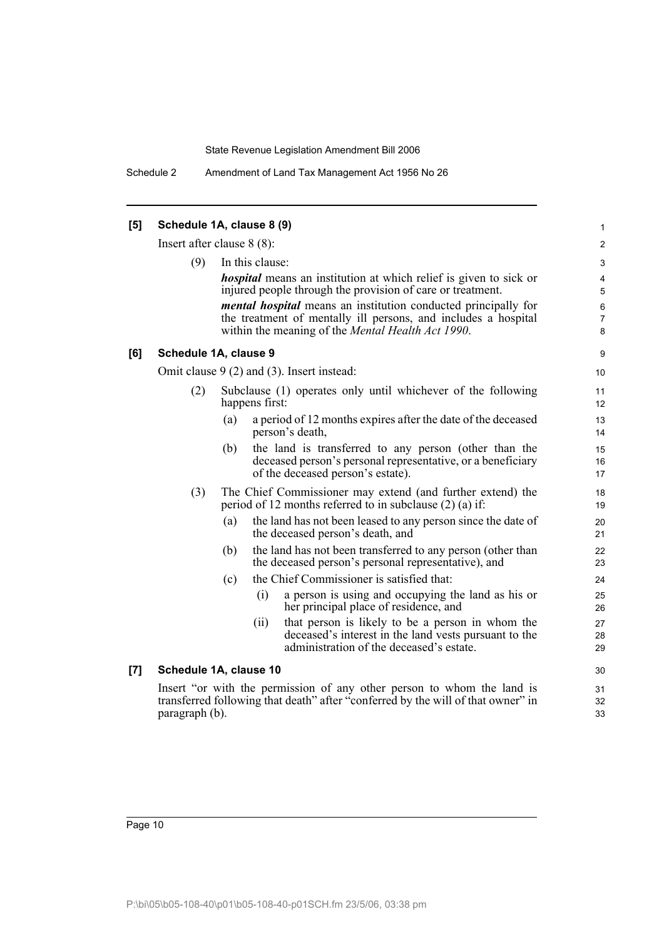Schedule 2 Amendment of Land Tax Management Act 1956 No 26

| [5] | Schedule 1A, clause 8 (9)    |     |                                                                                                                                                                                                      |                |
|-----|------------------------------|-----|------------------------------------------------------------------------------------------------------------------------------------------------------------------------------------------------------|----------------|
|     | Insert after clause $8(8)$ : |     |                                                                                                                                                                                                      | $\overline{2}$ |
|     | (9)                          |     | In this clause:                                                                                                                                                                                      | 3              |
|     |                              |     | <i>hospital</i> means an institution at which relief is given to sick or<br>injured people through the provision of care or treatment.                                                               | 4<br>5         |
|     |                              |     | <i>mental hospital</i> means an institution conducted principally for<br>the treatment of mentally ill persons, and includes a hospital<br>within the meaning of the <i>Mental Health Act 1990</i> . | 6<br>7<br>8    |
| [6] | Schedule 1A, clause 9        |     |                                                                                                                                                                                                      | 9              |
|     |                              |     | Omit clause $9(2)$ and $(3)$ . Insert instead:                                                                                                                                                       | 10             |
|     | (2)                          |     | Subclause (1) operates only until whichever of the following<br>happens first:                                                                                                                       | 11<br>12       |
|     |                              | (a) | a period of 12 months expires after the date of the deceased<br>person's death,                                                                                                                      | 13<br>14       |
|     |                              | (b) | the land is transferred to any person (other than the<br>deceased person's personal representative, or a beneficiary<br>of the deceased person's estate).                                            | 15<br>16<br>17 |
|     | (3)                          |     | The Chief Commissioner may extend (and further extend) the<br>period of 12 months referred to in subclause $(2)$ (a) if:                                                                             | 18<br>19       |
|     |                              | (a) | the land has not been leased to any person since the date of<br>the deceased person's death, and                                                                                                     | 20<br>21       |
|     |                              | (b) | the land has not been transferred to any person (other than<br>the deceased person's personal representative), and                                                                                   | 22<br>23       |
|     |                              | (c) | the Chief Commissioner is satisfied that:                                                                                                                                                            | 24             |
|     |                              |     | a person is using and occupying the land as his or<br>(i)<br>her principal place of residence, and                                                                                                   | 25<br>26       |
|     |                              |     | that person is likely to be a person in whom the<br>(ii)<br>deceased's interest in the land vests pursuant to the<br>administration of the deceased's estate.                                        | 27<br>28<br>29 |
| [7] | Schedule 1A, clause 10       |     |                                                                                                                                                                                                      |                |
|     | paragraph (b).               |     | Insert "or with the permission of any other person to whom the land is<br>transferred following that death" after "conferred by the will of that owner" in                                           | 31<br>32<br>33 |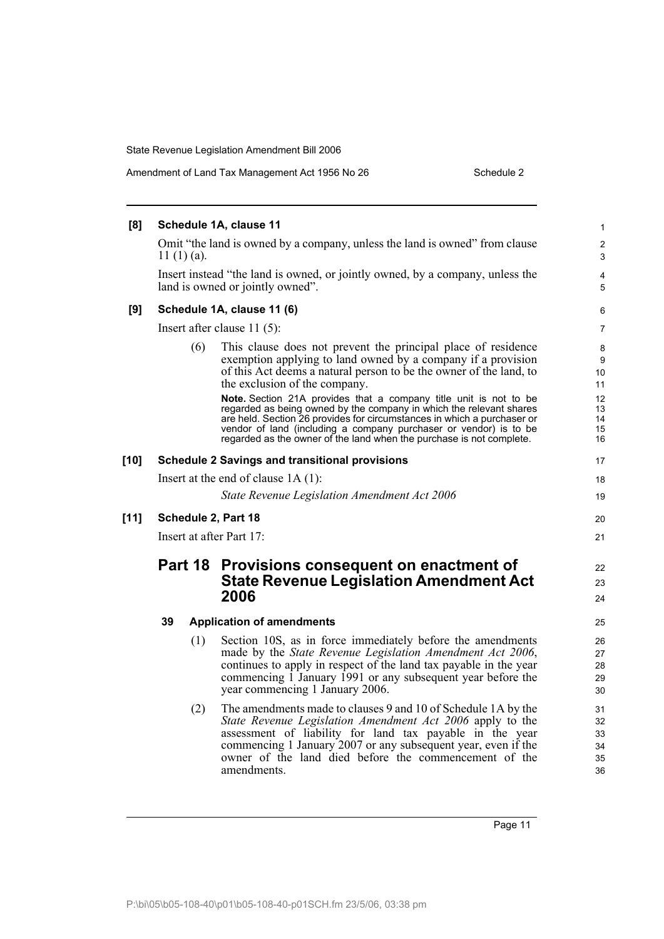| Amendment of Land Tax Management Act 1956 No 26 | Schedule 2 |
|-------------------------------------------------|------------|
|-------------------------------------------------|------------|

#### **[8] Schedule 1A, clause 11** Omit "the land is owned by a company, unless the land is owned" from clause 11 (1) (a). Insert instead "the land is owned, or jointly owned, by a company, unless the land is owned or jointly owned". **[9] Schedule 1A, clause 11 (6)** Insert after clause 11 (5): (6) This clause does not prevent the principal place of residence exemption applying to land owned by a company if a provision of this Act deems a natural person to be the owner of the land, to the exclusion of the company. **Note.** Section 21A provides that a company title unit is not to be regarded as being owned by the company in which the relevant shares are held. Section 26 provides for circumstances in which a purchaser or vendor of land (including a company purchaser or vendor) is to be regarded as the owner of the land when the purchase is not complete. **[10] Schedule 2 Savings and transitional provisions** Insert at the end of clause 1A (1): *State Revenue Legislation Amendment Act 2006* **[11] Schedule 2, Part 18** Insert at after Part 17: **Part 18 Provisions consequent on enactment of State Revenue Legislation Amendment Act 2006 39 Application of amendments** (1) Section 10S, as in force immediately before the amendments made by the *State Revenue Legislation Amendment Act 2006*, continues to apply in respect of the land tax payable in the year commencing 1 January 1991 or any subsequent year before the year commencing 1 January 2006. (2) The amendments made to clauses 9 and 10 of Schedule 1A by the *State Revenue Legislation Amendment Act 2006* apply to the assessment of liability for land tax payable in the year commencing 1 January 2007 or any subsequent year, even if the owner of the land died before the commencement of the amendments. 1 2 3 4 5 6 7 8 9 10 11 12 13 14 15 16 17 18 19 20 21 22 23 24 25 26 27 28 29 30 31 32 33 34 35 36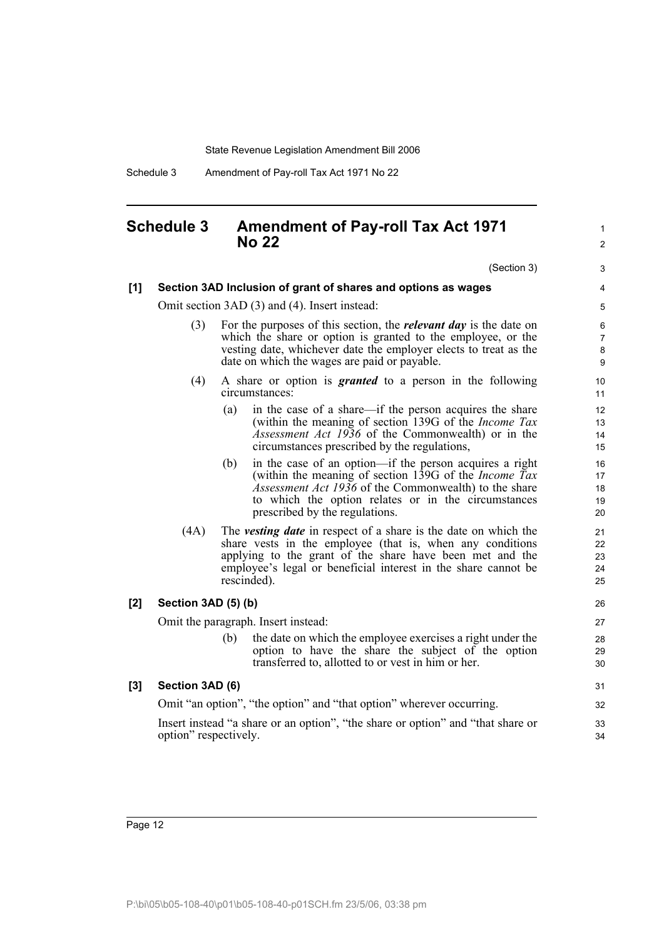Schedule 3 Amendment of Pay-roll Tax Act 1971 No 22

## <span id="page-21-0"></span>**Schedule 3 Amendment of Pay-roll Tax Act 1971 No 22**

1  $\mathfrak{p}$ 

(Section 3) **[1] Section 3AD Inclusion of grant of shares and options as wages** Omit section 3AD (3) and (4). Insert instead: (3) For the purposes of this section, the *relevant day* is the date on which the share or option is granted to the employee, or the vesting date, whichever date the employer elects to treat as the date on which the wages are paid or payable. (4) A share or option is *granted* to a person in the following circumstances: (a) in the case of a share—if the person acquires the share (within the meaning of section 139G of the *Income Tax Assessment Act 1936* of the Commonwealth) or in the circumstances prescribed by the regulations, (b) in the case of an option—if the person acquires a right (within the meaning of section 139G of the *Income Tax Assessment Act 1936* of the Commonwealth) to the share to which the option relates or in the circumstances prescribed by the regulations. (4A) The *vesting date* in respect of a share is the date on which the share vests in the employee (that is, when any conditions applying to the grant of the share have been met and the employee's legal or beneficial interest in the share cannot be rescinded). **[2] Section 3AD (5) (b)** Omit the paragraph. Insert instead: (b) the date on which the employee exercises a right under the option to have the share the subject of the option transferred to, allotted to or vest in him or her. **[3] Section 3AD (6)** Omit "an option", "the option" and "that option" wherever occurring. Insert instead "a share or an option", "the share or option" and "that share or option" respectively. 3 4 5 6 7 8 9 10 11 12 13 14 15 16 17 18 19 20 21 22 23 24 25 26 27 28 29 30 31 32 33 34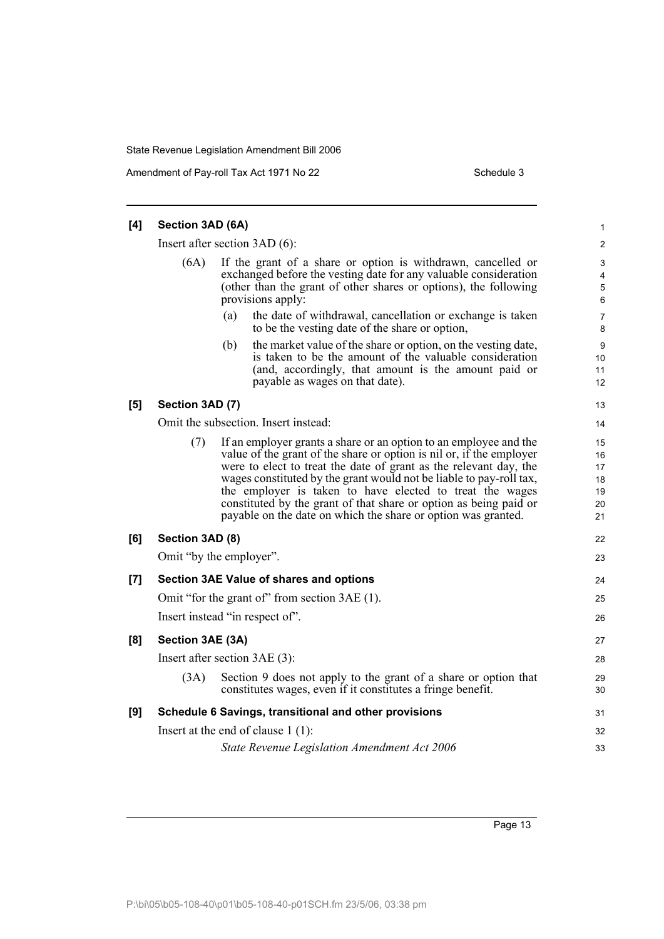Amendment of Pay-roll Tax Act 1971 No 22 Schedule 3

| [4] | Section 3AD (6A)                     |                                                                                                                                                                                                                                                                                                                                                                                                                                                                                         |                                                                                                                                                                                  | 1                                      |
|-----|--------------------------------------|-----------------------------------------------------------------------------------------------------------------------------------------------------------------------------------------------------------------------------------------------------------------------------------------------------------------------------------------------------------------------------------------------------------------------------------------------------------------------------------------|----------------------------------------------------------------------------------------------------------------------------------------------------------------------------------|----------------------------------------|
|     |                                      | Insert after section $3AD(6)$ :                                                                                                                                                                                                                                                                                                                                                                                                                                                         |                                                                                                                                                                                  | 2                                      |
|     | (6A)                                 | If the grant of a share or option is withdrawn, cancelled or<br>exchanged before the vesting date for any valuable consideration<br>(other than the grant of other shares or options), the following<br>provisions apply:                                                                                                                                                                                                                                                               |                                                                                                                                                                                  | $\mathbf{3}$<br>4<br>5<br>6            |
|     |                                      | (a)<br>to be the vesting date of the share or option,                                                                                                                                                                                                                                                                                                                                                                                                                                   | the date of withdrawal, cancellation or exchange is taken                                                                                                                        | $\overline{7}$<br>8                    |
|     |                                      | (b)<br>payable as wages on that date).                                                                                                                                                                                                                                                                                                                                                                                                                                                  | the market value of the share or option, on the vesting date,<br>is taken to be the amount of the valuable consideration<br>(and, accordingly, that amount is the amount paid or | 9<br>10<br>11<br>12                    |
| [5] | Section 3AD (7)                      |                                                                                                                                                                                                                                                                                                                                                                                                                                                                                         |                                                                                                                                                                                  | 13                                     |
|     | Omit the subsection. Insert instead: |                                                                                                                                                                                                                                                                                                                                                                                                                                                                                         |                                                                                                                                                                                  |                                        |
|     | (7)                                  | If an employer grants a share or an option to an employee and the<br>value of the grant of the share or option is nil or, if the employer<br>were to elect to treat the date of grant as the relevant day, the<br>wages constituted by the grant would not be liable to pay-roll tax,<br>the employer is taken to have elected to treat the wages<br>constituted by the grant of that share or option as being paid or<br>payable on the date on which the share or option was granted. |                                                                                                                                                                                  | 15<br>16<br>17<br>18<br>19<br>20<br>21 |
| [6] | Section 3AD (8)                      |                                                                                                                                                                                                                                                                                                                                                                                                                                                                                         |                                                                                                                                                                                  | 22                                     |
|     |                                      | Omit "by the employer".                                                                                                                                                                                                                                                                                                                                                                                                                                                                 |                                                                                                                                                                                  | 23                                     |
| [7] |                                      | Section 3AE Value of shares and options                                                                                                                                                                                                                                                                                                                                                                                                                                                 |                                                                                                                                                                                  | 24                                     |
|     |                                      | Omit "for the grant of" from section 3AE (1).                                                                                                                                                                                                                                                                                                                                                                                                                                           |                                                                                                                                                                                  | 25                                     |
|     |                                      | Insert instead "in respect of".                                                                                                                                                                                                                                                                                                                                                                                                                                                         |                                                                                                                                                                                  | 26                                     |
| [8] | Section 3AE (3A)                     |                                                                                                                                                                                                                                                                                                                                                                                                                                                                                         |                                                                                                                                                                                  | 27                                     |
|     | Insert after section $3AE(3)$ :      |                                                                                                                                                                                                                                                                                                                                                                                                                                                                                         |                                                                                                                                                                                  | 28                                     |
|     | (3A)                                 | Section 9 does not apply to the grant of a share or option that<br>constitutes wages, even if it constitutes a fringe benefit.                                                                                                                                                                                                                                                                                                                                                          |                                                                                                                                                                                  | 29<br>30                               |
| [9] |                                      | Schedule 6 Savings, transitional and other provisions                                                                                                                                                                                                                                                                                                                                                                                                                                   |                                                                                                                                                                                  | 31                                     |
|     |                                      | Insert at the end of clause $1(1)$ :                                                                                                                                                                                                                                                                                                                                                                                                                                                    |                                                                                                                                                                                  | 32                                     |
|     |                                      | State Revenue Legislation Amendment Act 2006                                                                                                                                                                                                                                                                                                                                                                                                                                            |                                                                                                                                                                                  | 33                                     |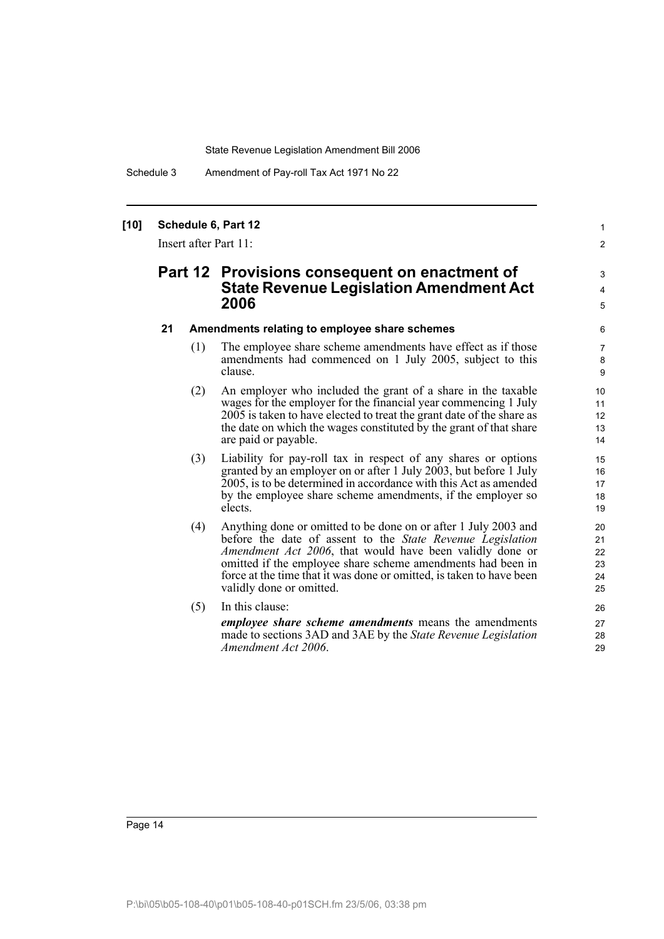Schedule 3 Amendment of Pay-roll Tax Act 1971 No 22

### **[10] Schedule 6, Part 12**

Insert after Part 11:

### **Part 12 Provisions consequent on enactment of State Revenue Legislation Amendment Act 2006**

### **21 Amendments relating to employee share schemes**

(1) The employee share scheme amendments have effect as if those amendments had commenced on 1 July 2005, subject to this clause.

1 2

3 4 5

- (2) An employer who included the grant of a share in the taxable wages for the employer for the financial year commencing 1 July 2005 is taken to have elected to treat the grant date of the share as the date on which the wages constituted by the grant of that share are paid or payable.
- (3) Liability for pay-roll tax in respect of any shares or options granted by an employer on or after 1 July 2003, but before 1 July 2005, is to be determined in accordance with this Act as amended by the employee share scheme amendments, if the employer so elects.
- (4) Anything done or omitted to be done on or after 1 July 2003 and before the date of assent to the *State Revenue Legislation Amendment Act 2006*, that would have been validly done or omitted if the employee share scheme amendments had been in force at the time that it was done or omitted, is taken to have been validly done or omitted.

(5) In this clause:

*employee share scheme amendments* means the amendments made to sections 3AD and 3AE by the *State Revenue Legislation Amendment Act 2006*.